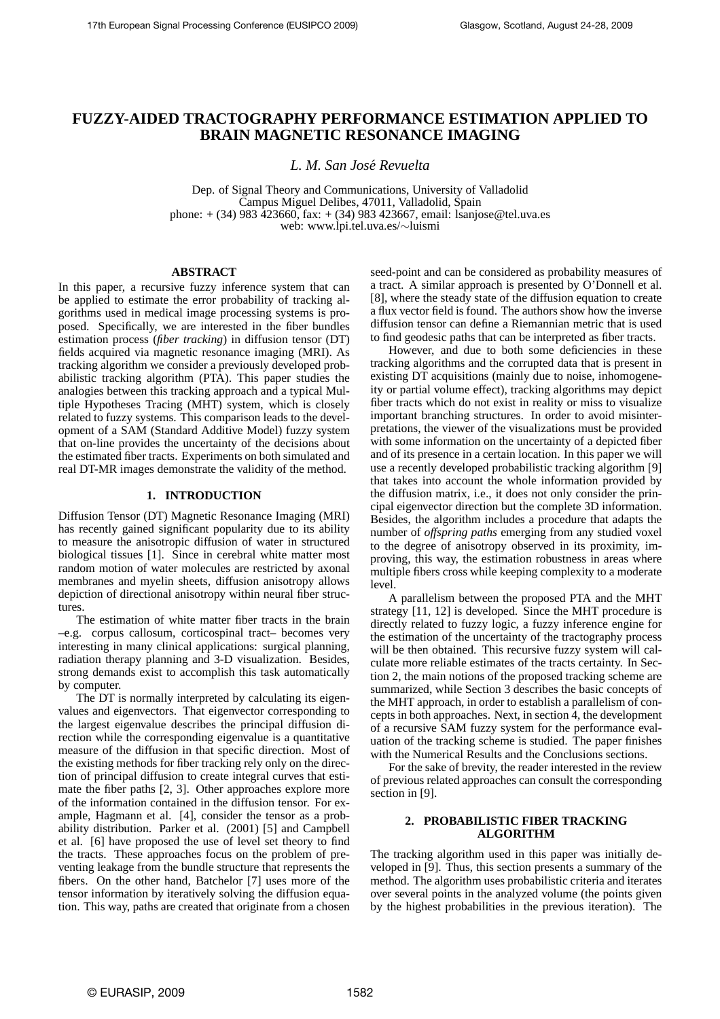# **FUZZY-AIDED TRACTOGRAPHY PERFORMANCE ESTIMATION APPLIED TO BRAIN MAGNETIC RESONANCE IMAGING**

*L. M. San Jose Revuelta ´*

Dep. of Signal Theory and Communications, University of Valladolid Campus Miguel Delibes, 47011, Valladolid, Spain phone:  $+(34)$  983 423660, fax:  $+(34)$  983 423667, email: lsanjose@tel.uva.es web: www.lpi.tel.uva.es/∼luismi

### **ABSTRACT**

In this paper, a recursive fuzzy inference system that can be applied to estimate the error probability of tracking algorithms used in medical image processing systems is proposed. Specifically, we are interested in the fiber bundles estimation process (*fiber tracking*) in diffusion tensor (DT) fields acquired via magnetic resonance imaging (MRI). As tracking algorithm we consider a previously developed probabilistic tracking algorithm (PTA). This paper studies the analogies between this tracking approach and a typical Multiple Hypotheses Tracing (MHT) system, which is closely related to fuzzy systems. This comparison leads to the development of a SAM (Standard Additive Model) fuzzy system that on-line provides the uncertainty of the decisions about the estimated fiber tracts. Experiments on both simulated and real DT-MR images demonstrate the validity of the method.

## **1. INTRODUCTION**

Diffusion Tensor (DT) Magnetic Resonance Imaging (MRI) has recently gained significant popularity due to its ability to measure the anisotropic diffusion of water in structured biological tissues [1]. Since in cerebral white matter most random motion of water molecules are restricted by axonal membranes and myelin sheets, diffusion anisotropy allows depiction of directional anisotropy within neural fiber structures.

The estimation of white matter fiber tracts in the brain –e.g. corpus callosum, corticospinal tract– becomes very interesting in many clinical applications: surgical planning, radiation therapy planning and 3-D visualization. Besides, strong demands exist to accomplish this task automatically by computer.

The DT is normally interpreted by calculating its eigenvalues and eigenvectors. That eigenvector corresponding to the largest eigenvalue describes the principal diffusion direction while the corresponding eigenvalue is a quantitative measure of the diffusion in that specific direction. Most of the existing methods for fiber tracking rely only on the direction of principal diffusion to create integral curves that estimate the fiber paths [2, 3]. Other approaches explore more of the information contained in the diffusion tensor. For example, Hagmann et al. [4], consider the tensor as a probability distribution. Parker et al. (2001) [5] and Campbell et al. [6] have proposed the use of level set theory to find the tracts. These approaches focus on the problem of preventing leakage from the bundle structure that represents the fibers. On the other hand, Batchelor [7] uses more of the tensor information by iteratively solving the diffusion equation. This way, paths are created that originate from a chosen seed-point and can be considered as probability measures of a tract. A similar approach is presented by O'Donnell et al. [8], where the steady state of the diffusion equation to create a flux vector field is found. The authors show how the inverse diffusion tensor can define a Riemannian metric that is used to find geodesic paths that can be interpreted as fiber tracts.

However, and due to both some deficiencies in these tracking algorithms and the corrupted data that is present in existing DT acquisitions (mainly due to noise, inhomogeneity or partial volume effect), tracking algorithms may depict fiber tracts which do not exist in reality or miss to visualize important branching structures. In order to avoid misinterpretations, the viewer of the visualizations must be provided with some information on the uncertainty of a depicted fiber and of its presence in a certain location. In this paper we will use a recently developed probabilistic tracking algorithm [9] that takes into account the whole information provided by the diffusion matrix, i.e., it does not only consider the principal eigenvector direction but the complete 3D information. Besides, the algorithm includes a procedure that adapts the number of *offspring paths* emerging from any studied voxel to the degree of anisotropy observed in its proximity, improving, this way, the estimation robustness in areas where multiple fibers cross while keeping complexity to a moderate level.

A parallelism between the proposed PTA and the MHT strategy [11, 12] is developed. Since the MHT procedure is directly related to fuzzy logic, a fuzzy inference engine for the estimation of the uncertainty of the tractography process will be then obtained. This recursive fuzzy system will calculate more reliable estimates of the tracts certainty. In Section 2, the main notions of the proposed tracking scheme are summarized, while Section 3 describes the basic concepts of the MHT approach, in order to establish a parallelism of concepts in both approaches. Next, in section 4, the development of a recursive SAM fuzzy system for the performance evaluation of the tracking scheme is studied. The paper finishes with the Numerical Results and the Conclusions sections.

For the sake of brevity, the reader interested in the review of previous related approaches can consult the corresponding section in [9].

### **2. PROBABILISTIC FIBER TRACKING ALGORITHM**

The tracking algorithm used in this paper was initially developed in [9]. Thus, this section presents a summary of the method. The algorithm uses probabilistic criteria and iterates over several points in the analyzed volume (the points given by the highest probabilities in the previous iteration). The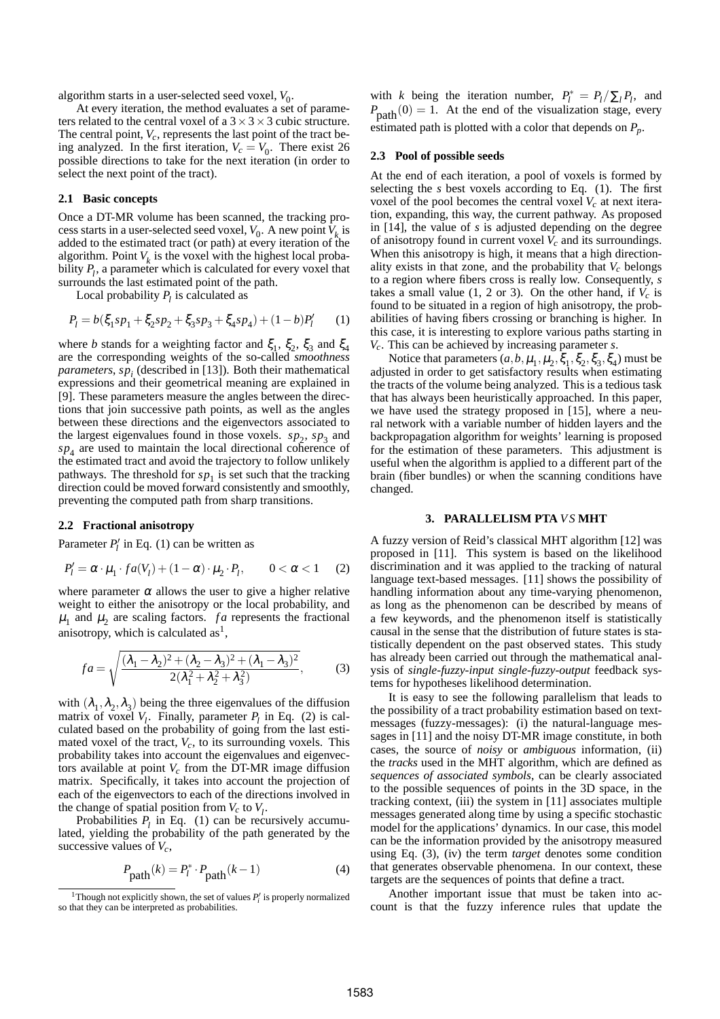algorithm starts in a user-selected seed voxel,  $V_0$ .

At every iteration, the method evaluates a set of parameters related to the central voxel of a  $3 \times 3 \times 3$  cubic structure. The central point, *Vc*, represents the last point of the tract being analyzed. In the first iteration,  $V_c = V_0$ . There exist 26 possible directions to take for the next iteration (in order to select the next point of the tract).

#### **2.1 Basic concepts**

Once a DT-MR volume has been scanned, the tracking process starts in a user-selected seed voxel,  $V_0$ . A new point  $V_k$  is added to the estimated tract (or path) at every iteration of the algorithm. Point  $V_k$  is the voxel with the highest local probability  $P_l$ , a parameter which is calculated for every voxel that surrounds the last estimated point of the path.

Local probability  $P_l$  is calculated as

$$
P_l = b(\xi_1 s p_1 + \xi_2 s p_2 + \xi_3 s p_3 + \xi_4 s p_4) + (1 - b)P'_l \tag{1}
$$

where *b* stands for a weighting factor and  $\xi_1$ ,  $\xi_2$ ,  $\xi_3$  and  $\xi_4$ are the corresponding weights of the so-called *smoothness parameters*, *sp<sup>i</sup>* (described in [13]). Both their mathematical expressions and their geometrical meaning are explained in [9]. These parameters measure the angles between the directions that join successive path points, as well as the angles between these directions and the eigenvectors associated to the largest eigenvalues found in those voxels.  $sp_2$ ,  $sp_3$  and  $sp<sub>4</sub>$  are used to maintain the local directional coherence of the estimated tract and avoid the trajectory to follow unlikely pathways. The threshold for  $sp<sub>1</sub>$  is set such that the tracking direction could be moved forward consistently and smoothly, preventing the computed path from sharp transitions.

#### **2.2 Fractional anisotropy**

Parameter *P* ′  $\mathbf{p}'_l$  in Eq. (1) can be written as

$$
P'_l = \alpha \cdot \mu_1 \cdot fa(V_l) + (1 - \alpha) \cdot \mu_2 \cdot P_l, \qquad 0 < \alpha < 1 \tag{2}
$$

where parameter  $\alpha$  allows the user to give a higher relative weight to either the anisotropy or the local probability, and  $\mu_1$  and  $\mu_2$  are scaling factors. *fa* represents the fractional anisotropy, which is calculated as<sup>1</sup>,

$$
fa = \sqrt{\frac{(\lambda_1 - \lambda_2)^2 + (\lambda_2 - \lambda_3)^2 + (\lambda_1 - \lambda_3)^2}{2(\lambda_1^2 + \lambda_2^2 + \lambda_3^2)}},
$$
 (3)

with  $(\lambda_1, \lambda_2, \lambda_3)$  being the three eigenvalues of the diffusion matrix of voxel  $V_l$ . Finally, parameter  $P_l$  in Eq. (2) is calculated based on the probability of going from the last estimated voxel of the tract,  $V_c$ , to its surrounding voxels. This probability takes into account the eigenvalues and eigenvectors available at point *V<sup>c</sup>* from the DT-MR image diffusion matrix. Specifically, it takes into account the projection of each of the eigenvectors to each of the directions involved in the change of spatial position from  $V_c$  to  $V_l$ .

Probabilities  $P_l$  in Eq. (1) can be recursively accumulated, yielding the probability of the path generated by the successive values of  $V_c$ ,

$$
P_{\text{path}}(k) = P_l^* \cdot P_{\text{path}}(k-1) \tag{4}
$$

with *k* being the iteration number,  $P_l^* = P_l / \sum_l P_l$ , and  $P_{\text{path}}(0) = 1$ . At the end of the visualization stage, every estimated path is plotted with a color that depends on *Pp*.

### **2.3 Pool of possible seeds**

At the end of each iteration, a pool of voxels is formed by selecting the *s* best voxels according to Eq. (1). The first voxel of the pool becomes the central voxel  $V_c$  at next iteration, expanding, this way, the current pathway. As proposed in [14], the value of *s* is adjusted depending on the degree of anisotropy found in current voxel *V<sup>c</sup>* and its surroundings. When this anisotropy is high, it means that a high directionality exists in that zone, and the probability that  $V_c$  belongs to a region where fibers cross is really low. Consequently, *s* takes a small value  $(1, 2 \text{ or } 3)$ . On the other hand, if  $V_c$  is found to be situated in a region of high anisotropy, the probabilities of having fibers crossing or branching is higher. In this case, it is interesting to explore various paths starting in *Vc*. This can be achieved by increasing parameter *s*.

Notice that parameters  $(a, b, \mu_1, \mu_2, \xi_1, \xi_2, \xi_3, \xi_4)$  must be adjusted in order to get satisfactory results when estimating the tracts of the volume being analyzed. This is a tedious task that has always been heuristically approached. In this paper, we have used the strategy proposed in [15], where a neural network with a variable number of hidden layers and the backpropagation algorithm for weights' learning is proposed for the estimation of these parameters. This adjustment is useful when the algorithm is applied to a different part of the brain (fiber bundles) or when the scanning conditions have changed.

#### **3. PARALLELISM PTA** *V S* **MHT**

A fuzzy version of Reid's classical MHT algorithm [12] was proposed in [11]. This system is based on the likelihood discrimination and it was applied to the tracking of natural language text-based messages. [11] shows the possibility of handling information about any time-varying phenomenon, as long as the phenomenon can be described by means of a few keywords, and the phenomenon itself is statistically causal in the sense that the distribution of future states is statistically dependent on the past observed states. This study has already been carried out through the mathematical analysis of *single-fuzzy-input single-fuzzy-output* feedback systems for hypotheses likelihood determination.

It is easy to see the following parallelism that leads to the possibility of a tract probability estimation based on textmessages (fuzzy-messages): (i) the natural-language messages in [11] and the noisy DT-MR image constitute, in both cases, the source of *noisy* or *ambiguous* information, (ii) the *tracks* used in the MHT algorithm, which are defined as *sequences of associated symbols*, can be clearly associated to the possible sequences of points in the 3D space, in the tracking context, (iii) the system in [11] associates multiple messages generated along time by using a specific stochastic model for the applications' dynamics. In our case, this model can be the information provided by the anisotropy measured using Eq. (3), (iv) the term *target* denotes some condition that generates observable phenomena. In our context, these targets are the sequences of points that define a tract.

Another important issue that must be taken into account is that the fuzzy inference rules that update the

<sup>&</sup>lt;sup>1</sup>Though not explicitly shown, the set of values  $P'_i$  is properly normalized so that they can be interpreted as probabilities.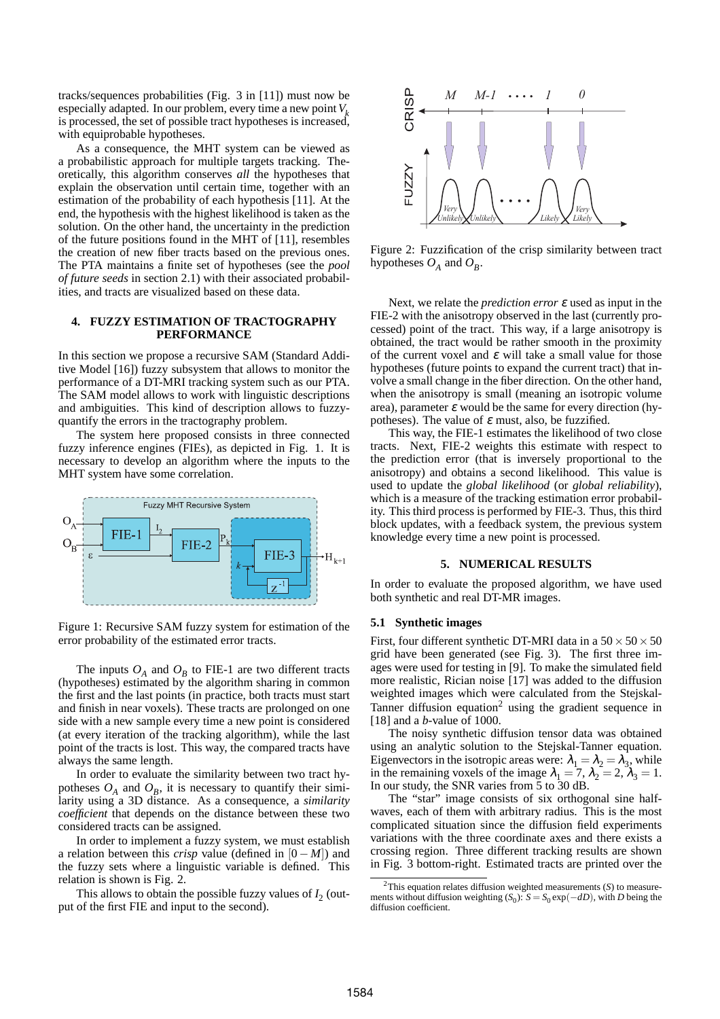tracks/sequences probabilities (Fig. 3 in [11]) must now be especially adapted. In our problem, every time a new point*V<sup>k</sup>* is processed, the set of possible tract hypotheses is increased, with equiprobable hypotheses.

As a consequence, the MHT system can be viewed as a probabilistic approach for multiple targets tracking. Theoretically, this algorithm conserves *all* the hypotheses that explain the observation until certain time, together with an estimation of the probability of each hypothesis [11]. At the end, the hypothesis with the highest likelihood is taken as the solution. On the other hand, the uncertainty in the prediction of the future positions found in the MHT of [11], resembles the creation of new fiber tracts based on the previous ones. The PTA maintains a finite set of hypotheses (see the *pool of future seeds* in section 2.1) with their associated probabilities, and tracts are visualized based on these data.

#### **4. FUZZY ESTIMATION OF TRACTOGRAPHY PERFORMANCE**

In this section we propose a recursive SAM (Standard Additive Model [16]) fuzzy subsystem that allows to monitor the performance of a DT-MRI tracking system such as our PTA. The SAM model allows to work with linguistic descriptions and ambiguities. This kind of description allows to fuzzyquantify the errors in the tractography problem.

The system here proposed consists in three connected fuzzy inference engines (FIEs), as depicted in Fig. 1. It is necessary to develop an algorithm where the inputs to the MHT system have some correlation.



Figure 1: Recursive SAM fuzzy system for estimation of the error probability of the estimated error tracts.

The inputs  $O_A$  and  $O_B$  to FIE-1 are two different tracts (hypotheses) estimated by the algorithm sharing in common the first and the last points (in practice, both tracts must start and finish in near voxels). These tracts are prolonged on one side with a new sample every time a new point is considered (at every iteration of the tracking algorithm), while the last point of the tracts is lost. This way, the compared tracts have always the same length.

In order to evaluate the similarity between two tract hypotheses  $O_A$  and  $O_B$ , it is necessary to quantify their similarity using a 3D distance. As a consequence, a *similarity coefficient* that depends on the distance between these two considered tracts can be assigned.

In order to implement a fuzzy system, we must establish a relation between this *crisp* value (defined in  $[0 - M]$ ) and the fuzzy sets where a linguistic variable is defined. This relation is shown is Fig. 2.

This allows to obtain the possible fuzzy values of  $I_2$  (output of the first FIE and input to the second).



Figure 2: Fuzzification of the crisp similarity between tract hypotheses  $O_A$  and  $O_B$ .

Next, we relate the *prediction error* <sup>ε</sup> used as input in the FIE-2 with the anisotropy observed in the last (currently processed) point of the tract. This way, if a large anisotropy is obtained, the tract would be rather smooth in the proximity of the current voxel and  $\varepsilon$  will take a small value for those hypotheses (future points to expand the current tract) that involve a small change in the fiber direction. On the other hand, when the anisotropy is small (meaning an isotropic volume area), parameter  $\varepsilon$  would be the same for every direction (hypotheses). The value of  $\varepsilon$  must, also, be fuzzified.

This way, the FIE-1 estimates the likelihood of two close tracts. Next, FIE-2 weights this estimate with respect to the prediction error (that is inversely proportional to the anisotropy) and obtains a second likelihood. This value is used to update the *global likelihood* (or *global reliability*), which is a measure of the tracking estimation error probability. This third process is performed by FIE-3. Thus, this third block updates, with a feedback system, the previous system knowledge every time a new point is processed.

#### **5. NUMERICAL RESULTS**

In order to evaluate the proposed algorithm, we have used both synthetic and real DT-MR images.

#### **5.1 Synthetic images**

First, four different synthetic DT-MRI data in a  $50 \times 50 \times 50$ grid have been generated (see Fig. 3). The first three images were used for testing in [9]. To make the simulated field more realistic, Rician noise [17] was added to the diffusion weighted images which were calculated from the Stejskal-Tanner diffusion equation<sup>2</sup> using the gradient sequence in [18] and a *b*-value of 1000.

The noisy synthetic diffusion tensor data was obtained using an analytic solution to the Stejskal-Tanner equation. Eigenvectors in the isotropic areas were:  $\lambda_1 = \lambda_2 = \lambda_3$ , while in the remaining voxels of the image  $\lambda_1 = 7$ ,  $\lambda_2 = 2$ ,  $\lambda_3 = 1$ . In our study, the SNR varies from  $\frac{3}{5}$  to  $\frac{1}{30}$  dB.

The "star" image consists of six orthogonal sine halfwaves, each of them with arbitrary radius. This is the most complicated situation since the diffusion field experiments variations with the three coordinate axes and there exists a crossing region. Three different tracking results are shown in Fig. 3 bottom-right. Estimated tracts are printed over the

<sup>2</sup>This equation relates diffusion weighted measurements (*S*) to measurements without diffusion weighting  $(S_0)$ :  $S = S_0 \exp(-dD)$ , with *D* being the diffusion coefficient.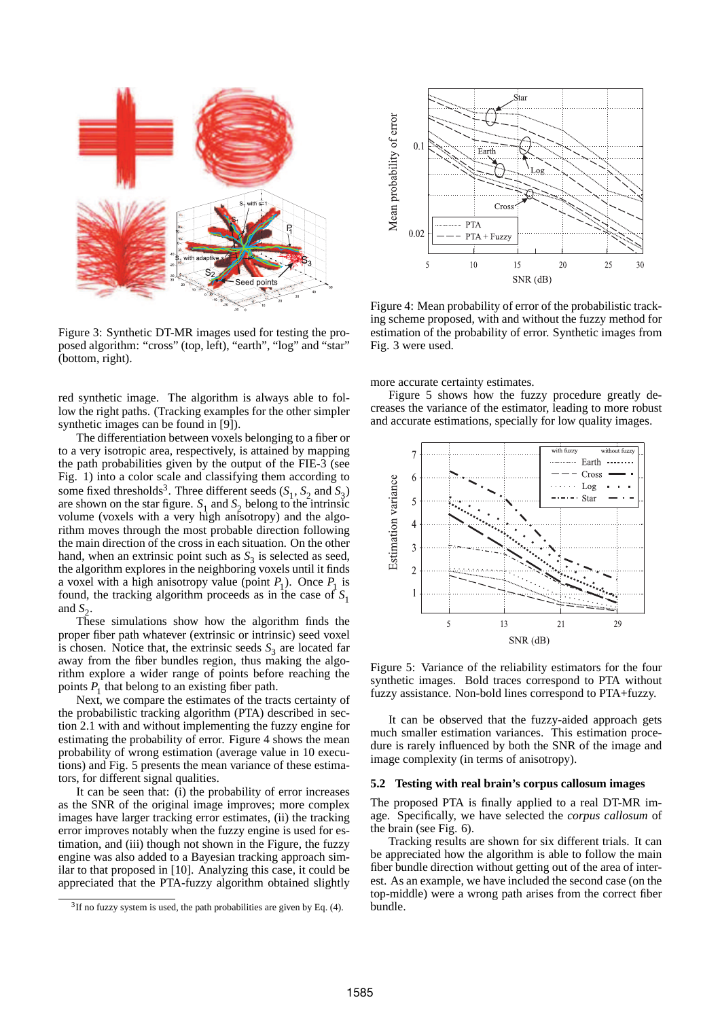

Figure 3: Synthetic DT-MR images used for testing the proposed algorithm: "cross" (top, left), "earth", "log" and "star" (bottom, right).

red synthetic image. The algorithm is always able to follow the right paths. (Tracking examples for the other simpler synthetic images can be found in [9]).

The differentiation between voxels belonging to a fiber or to a very isotropic area, respectively, is attained by mapping the path probabilities given by the output of the FIE-3 (see Fig. 1) into a color scale and classifying them according to some fixed thresholds<sup>3</sup>. Three different seeds  $(S_1, S_2 \text{ and } S_3)$ are shown on the star figure.  $S_1$  and  $S_2$  belong to the intrinsic volume (voxels with a very high anisotropy) and the algorithm moves through the most probable direction following the main direction of the cross in each situation. On the other hand, when an extrinsic point such as  $S_3$  is selected as seed, the algorithm explores in the neighboring voxels until it finds a voxel with a high anisotropy value (point  $P_1$ ). Once  $P_1$  is found, the tracking algorithm proceeds as in the case of  $S_1$ and  $S_2$ .

These simulations show how the algorithm finds the proper fiber path whatever (extrinsic or intrinsic) seed voxel is chosen. Notice that, the extrinsic seeds  $S_3$  are located far away from the fiber bundles region, thus making the algorithm explore a wider range of points before reaching the points  $P_1$  that belong to an existing fiber path.

Next, we compare the estimates of the tracts certainty of the probabilistic tracking algorithm (PTA) described in section 2.1 with and without implementing the fuzzy engine for estimating the probability of error. Figure 4 shows the mean probability of wrong estimation (average value in 10 executions) and Fig. 5 presents the mean variance of these estimators, for different signal qualities.

It can be seen that: (i) the probability of error increases as the SNR of the original image improves; more complex images have larger tracking error estimates, (ii) the tracking error improves notably when the fuzzy engine is used for estimation, and (iii) though not shown in the Figure, the fuzzy engine was also added to a Bayesian tracking approach similar to that proposed in [10]. Analyzing this case, it could be appreciated that the PTA-fuzzy algorithm obtained slightly



Figure 4: Mean probability of error of the probabilistic tracking scheme proposed, with and without the fuzzy method for estimation of the probability of error. Synthetic images from Fig. 3 were used.

more accurate certainty estimates.

Figure 5 shows how the fuzzy procedure greatly decreases the variance of the estimator, leading to more robust and accurate estimations, specially for low quality images.



Figure 5: Variance of the reliability estimators for the four synthetic images. Bold traces correspond to PTA without fuzzy assistance. Non-bold lines correspond to PTA+fuzzy.

It can be observed that the fuzzy-aided approach gets much smaller estimation variances. This estimation procedure is rarely influenced by both the SNR of the image and image complexity (in terms of anisotropy).

#### **5.2 Testing with real brain's corpus callosum images**

The proposed PTA is finally applied to a real DT-MR image. Specifically, we have selected the *corpus callosum* of the brain (see Fig. 6).

Tracking results are shown for six different trials. It can be appreciated how the algorithm is able to follow the main fiber bundle direction without getting out of the area of interest. As an example, we have included the second case (on the top-middle) were a wrong path arises from the correct fiber bundle.

 $3$ If no fuzzy system is used, the path probabilities are given by Eq. (4).